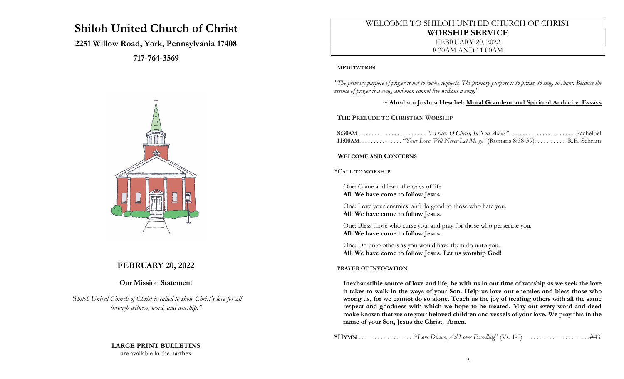# Shiloh United Church of Christ

# 2251 Willow Road, York, Pennsylvania 17408

717-764-3569



# FEBRUARY 20, 2022

### Our Mission Statement

"Shiloh United Church of Christ is called to show Christ's love for all through witness, word, and worship."

# LARGE PRINT BULLETINS

are available in the narthex

# WELCOME TO SHILOH UNITED CHURCH OF CHRIST WORSHIP SERVICE FEBRUARY 20, 2022 8:30AM AND 11:00AM

#### MEDITATION

"The primary purpose of prayer is not to make requests. The primary purpose is to praise, to sing, to chant. Because the essence of prayer is a song, and man cannot live without a song."

~ Abraham Joshua Heschel: Moral Grandeur and Spiritual Audacity: Essays

### THE PRELUDE TO CHRISTIAN WORSHIP

### WELCOME AND CONCERNS

### \*CALL TO WORSHIP

One: Come and learn the ways of life. All: We have come to follow Jesus.

One: Love your enemies, and do good to those who hate you. All: We have come to follow Jesus.

One: Bless those who curse you, and pray for those who persecute you. All: We have come to follow Jesus.

One: Do unto others as you would have them do unto you. All: We have come to follow Jesus. Let us worship God!

### PRAYER OF INVOCATION

Inexhaustible source of love and life, be with us in our time of worship as we seek the love it takes to walk in the ways of your Son. Help us love our enemies and bless those who wrong us, for we cannot do so alone. Teach us the joy of treating others with all the same respect and goodness with which we hope to be treated. May our every word and deed make known that we are your beloved children and vessels of your love. We pray this in the name of your Son, Jesus the Christ. Amen.

\*HYMN . . . . . . . . . . . . . . . . . ."Love Divine, All Loves Excelling" (Vs. 1-2) . . . . . . . . . . . . . . . . . . . . .#43

2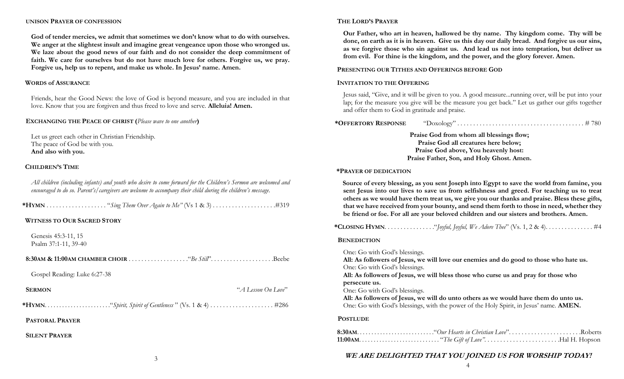#### UNISON PRAYER OF CONFESSION

God of tender mercies, we admit that sometimes we don't know what to do with ourselves. We anger at the slightest insult and imagine great vengeance upon those who wronged us. We laze about the good news of our faith and do not consider the deep commitment of faith. We care for ourselves but do not have much love for others. Forgive us, we pray. Forgive us, help us to repent, and make us whole. In Jesus' name. Amen.

#### WORDS of ASSURANCE

Friends, hear the Good News: the love of God is beyond measure, and you are included in that love. Know that you are forgiven and thus freed to love and serve. **Alleluia! Amen.** 

#### EXCHANGING THE PEACE OF CHRIST (Please wave to one another)

Let us greet each other in Christian Friendship. The peace of God be with you. And also with you.

#### CHILDREN'S TIME

All children (including infants) and youth who desire to come forward for the Children's Sermon are welcomed and encouraged to do so. Parent's/caregivers are welcome to accompany their child during the children's message.

|--|--|--|--|--|

#### WITNESS TO OUR SACRED STORY

Genesis 45:3-11, 15 Psalm 37:1-11, 39-40

 8:30AM & 11:00AM CHAMBER CHOIR . . . . . . . . . . . . . . . . . . ."Be Still". . . . . . . . . . . . . . . . . . . .Beebe Gospel Reading: Luke 6:27-38 SERMON "A Lesson On Love" \*HYMN. . . . . . . . . . . . . . . . . . . . . . ."Spirit, Spirit of Gentleness " (Vs. 1 & 4) . . . . . . . . . . . . . . . . . . . . #286 PASTORAL PRAYER SILENT PRAYER

#### THE LORD'S PRAYER

Our Father, who art in heaven, hallowed be thy name. Thy kingdom come. Thy will be done, on earth as it is in heaven. Give us this day our daily bread. And forgive us our sins, as we forgive those who sin against us. And lead us not into temptation, but deliver us from evil. For thine is the kingdom, and the power, and the glory forever. Amen.

#### PRESENTING OUR TITHES AND OFFERINGS BEFORE GOD

#### INVITATION TO THE OFFERING

Jesus said, "Give, and it will be given to you. A good measure...running over, will be put into your lap; for the measure you give will be the measure you get back." Let us gather our gifts together and offer them to God in gratitude and praise.

| *OFFERTORY RESPONSE | "Doxology" |  |
|---------------------|------------|--|
|---------------------|------------|--|

Praise God from whom all blessings flow; Praise God all creatures here below; Praise God above, You heavenly host: Praise Father, Son, and Holy Ghost. Amen.

#### \*PRAYER OF DEDICATION

Source of every blessing, as you sent Joseph into Egypt to save the world from famine, you sent Jesus into our lives to save us from selfishness and greed. For teaching us to treat others as we would have them treat us, we give you our thanks and praise. Bless these gifts, that we have received from your bounty, and send them forth to those in need, whether they be friend or foe. For all are your beloved children and our sisters and brothers. Amen.

|--|--|--|--|--|--|--|--|--|--|

#### **BENEDICTION**

One: Go with God's blessings. All: As followers of Jesus, we will love our enemies and do good to those who hate us. One: Go with God's blessings. All: As followers of Jesus, we will bless those who curse us and pray for those who persecute us. One: Go with God's blessings. All: As followers of Jesus, we will do unto others as we would have them do unto us. One: Go with God's blessings, with the power of the Holy Spirit, in Jesus' name. AMEN.

#### **POSTLUDE**

### WE ARE DELIGHTED THAT YOU JOINED US FOR WORSHIP TODAY!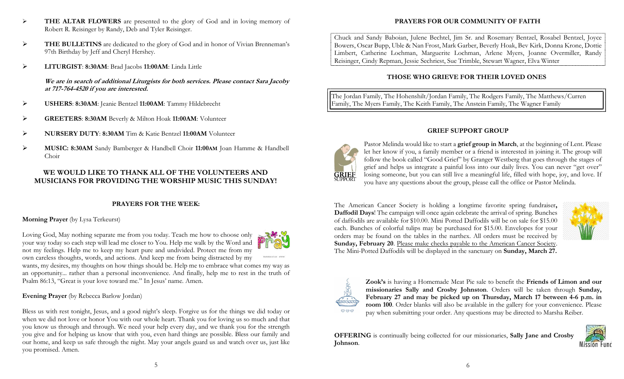- **► THE ALTAR FLOWERS** are presented to the glory of God and in loving memory of Robert R. Reisinger by Randy, Deb and Tyler Reisinger.
- THE BULLETINS are dedicated to the glory of God and in honor of Vivian Brenneman's 97th Birthday by Jeff and Cheryl Hershey.
- LITURGIST: 8:30AM: Brad Jacobs 11:00AM: Linda Little

We are in search of additional Liturgists for both services. Please contact Sara Jacoby at 717-764-4520 if you are interested.

- USHERS: 8:30AM: Jeanie Bentzel 11:00AM: Tammy Hildebrecht
- GREETERS: 8:30AM Beverly & Milton Hoak 11:00AM: Volunteer
- NURSERY DUTY: 8:30AM Tim & Katie Bentzel 11:00AM Volunteer
- MUSIC: 8:30AM Sandy Bamberger & Handbell Choir 11:00AM Joan Hamme & Handbell Choir

# WE WOULD LIKE TO THANK ALL OF THE VOLUNTEERS AND MUSICIANS FOR PROVIDING THE WORSHIP MUSIC THIS SUNDAY!

# PRAYERS FOR THE WEEK:

# Morning Prayer (by Lysa Terkeurst)

Loving God, May nothing separate me from you today. Teach me how to choose only your way today so each step will lead me closer to You. Help me walk by the Word and not my feelings. Help me to keep my heart pure and undivided. Protect me from my own careless thoughts, words, and actions. And keep me from being distracted by my

wants, my desires, my thoughts on how things should be. Help me to embrace what comes my way as an opportunity... rather than a personal inconvenience. And finally, help me to rest in the truth of Psalm 86:13, "Great is your love toward me." In Jesus' name. Amen.

### Evening Prayer (by Rebecca Barlow Jordan)

Bless us with rest tonight, Jesus, and a good night's sleep. Forgive us for the things we did today or when we did not love or honor You with our whole heart. Thank you for loving us so much and that you know us through and through. We need your help every day, and we thank you for the strength you give and for helping us know that with you, even hard things are possible. Bless our family and our home, and keep us safe through the night. May your angels guard us and watch over us, just like you promised. Amen.

# PRAYERS FOR OUR COMMUNITY OF FAITH

Chuck and Sandy Baboian, Julene Bechtel, Jim Sr. and Rosemary Bentzel, Rosabel Bentzel, Joyce Bowers, Oscar Bupp, Uble & Nan Frost, Mark Garber, Beverly Hoak, Bev Kirk, Donna Krone, Dottie Limbert, Catherine Lochman, Marguerite Lochman, Arlene Myers, Joanne Overmiller, Randy Reisinger, Cindy Repman, Jessie Sechriest, Sue Trimble, Stewart Wagner, Elva Winter

# THOSE WHO GRIEVE FOR THEIR LOVED ONES

The Jordan Family, The Hohenshilt/Jordan Family, The Rodgers Family, The Matthews/Curren Family, The Myers Family, The Keith Family, The Anstein Family, The Wagner Family

### GRIEF SUPPORT GROUP



Pastor Melinda would like to start a grief group in March, at the beginning of Lent. Please let her know if you, a family member or a friend is interested in joining it. The group will follow the book called "Good Grief" by Granger Westberg that goes through the stages of grief and helps us integrate a painful loss into our daily lives. You can never "get over" losing someone, but you can still live a meaningful life, filled with hope, joy, and love. If you have any questions about the group, please call the office or Pastor Melinda.

The American Cancer Society is holding a longtime favorite spring fundraiser, Daffodil Days! The campaign will once again celebrate the arrival of spring. Bunches of daffodils are available for \$10.00. Mini Potted Daffodils will be on sale for \$15.00 each. Bunches of colorful tulips may be purchased for \$15.00. Envelopes for your orders may be found on the tables in the narthex. All orders must be received by Sunday, February 20. Please make checks payable to the American Cancer Society. The Mini-Potted Daffodils will be displayed in the sanctuary on Sunday, March 27.





Zook's is having a Homemade Meat Pie sale to benefit the Friends of Limon and our missionaries Sally and Crosby Johnston. Orders will be taken through Sunday, February 27 and may be picked up on Thursday, March 17 between 4-6 p.m. in room 100. Order blanks will also be available in the gallery for your convenience. Please pay when submitting your order. Any questions may be directed to Marsha Reiber.

OFFERING is continually being collected for our missionaries, Sally Jane and Crosby Johnson.